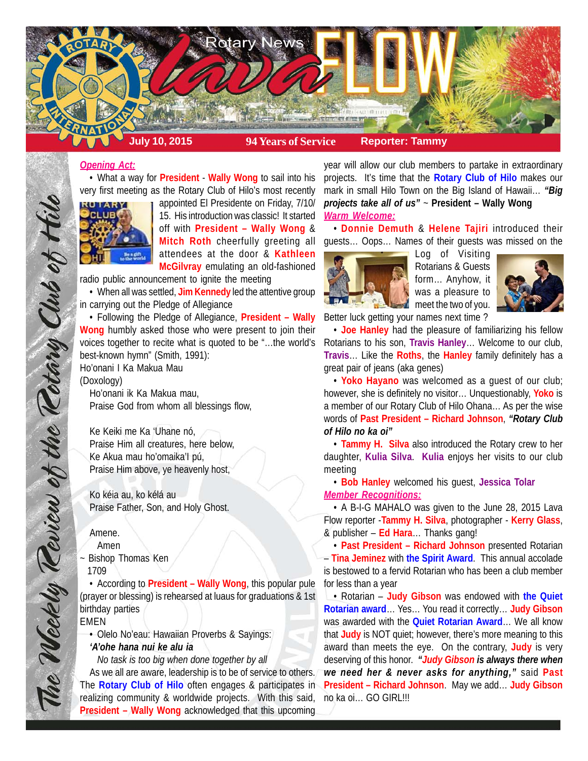

# *Opening Act:*

• What a way for **President** - **Wally Wong** to sail into his very first meeting as the Rotary Club of Hilo's most recently



appointed El Presidente on Friday, 7/10/ 15. His introduction was classic! It started off with **President – Wally Wong** & **Mitch Roth** cheerfully greeting all attendees at the door & **Kathleen McGilvray** emulating an old-fashioned

radio public announcement to ignite the meeting

• When all was settled, **Jim Kennedy** led the attentive group in carrying out the Pledge of Allegiance

• Following the Pledge of Allegiance, **President – Wally Wong** humbly asked those who were present to join their voices together to recite what is quoted to be "…the world's best-known hymn" (Smith, 1991):

Ho'onani I Ka Makua Mau (Doxology)

Ho'onani ik Ka Makua mau, Praise God from whom all blessings flow,

Ke Keiki me Ka 'Uhane nó, Praise Him all creatures, here below, Ke Akua mau ho'omaika'I pú, Praise Him above, ye heavenly host,

Ko kéia au, ko kélá au Praise Father, Son, and Holy Ghost.

#### Amene.

The Weekly Review of the Retary Club of this

Amen

~ Bishop Thomas Ken 1709

• According to **President – Wally Wong**, this popular pule (prayer or blessing) is rehearsed at luaus for graduations & 1st birthday parties

EMEN

• Olelo No'eau: Hawaiian Proverbs & Sayings: *'A'ohe hana nui ke alu ia*

*No task is too big when done together by all*

As we all are aware, leadership is to be of service to others. The **Rotary Club of Hilo** often engages & participates in realizing community & worldwide projects. With this said, **President – Wally Wong** acknowledged that this upcoming

year will allow our club members to partake in extraordinary projects. It's time that the **Rotary Club of Hilo** makes our mark in small Hilo Town on the Big Island of Hawaii… *"Big projects take all of us"* ~ **President – Wally Wong** *Warm Welcome:*

• **Donnie Demuth** & **Helene Tajiri** introduced their guests… Oops… Names of their guests was missed on the



Log of Visiting Rotarians & Guests form… Anyhow, it was a pleasure to meet the two of you. Better luck getting your names next time ?



• **Joe Hanley** had the pleasure of familiarizing his fellow Rotarians to his son, **Travis Hanley**… Welcome to our club, **Travis**… Like the **Roths**, the **Hanley** family definitely has a great pair of jeans (aka genes)

• **Yoko Hayano** was welcomed as a guest of our club; however, she is definitely no visitor… Unquestionably, **Yoko** is a member of our Rotary Club of Hilo Ohana… As per the wise words of **Past President – Richard Johnson**, *"Rotary Club of Hilo no ka oi"*

• **Tammy H. Silva** also introduced the Rotary crew to her daughter, **Kulia Silva**. **Kulia** enjoys her visits to our club meeting

• **Bob Hanley** welcomed his guest, **Jessica Tolar** *Member Recognitions:*

• A B-I-G MAHALO was given to the June 28, 2015 Lava Flow reporter -**Tammy H. Silva**, photographer - **Kerry Glass**, & publisher – **Ed Hara**… Thanks gang!

• **Past President – Richard Johnson** presented Rotarian – **Tina Jeminez** with **the Spirit Award**. This annual accolade is bestowed to a fervid Rotarian who has been a club member for less than a year

• Rotarian – **Judy Gibson** was endowed with **the Quiet Rotarian award**… Yes… You read it correctly… **Judy Gibson** was awarded with the **Quiet Rotarian Award**… We all know that **Judy** is NOT quiet; however, there's more meaning to this award than meets the eye. On the contrary, **Judy** is very deserving of this honor. *"Judy Gibson is always there when we need her & never asks for anything,"* said **Past President – Richard Johnson**. May we add… **Judy Gibson** no ka oi… GO GIRL!!!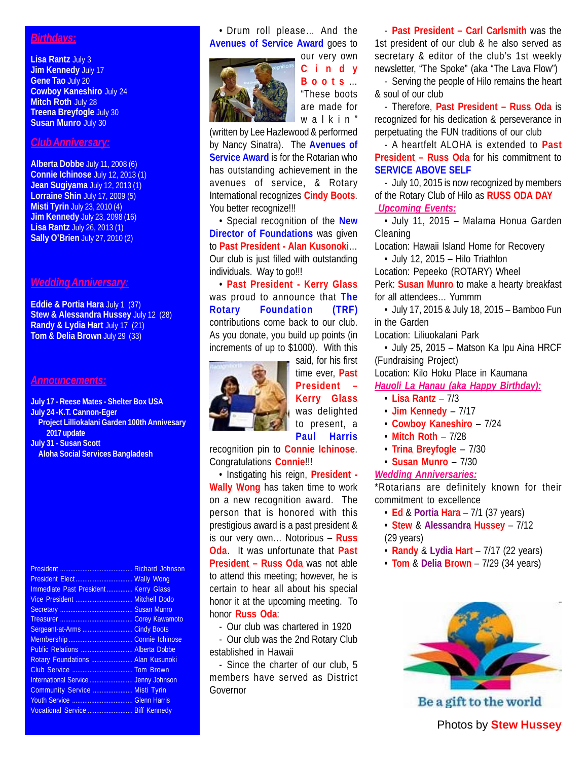# *Birthdays:*

**Lisa Rantz** July 3 **Jim Kennedy** July 17 **Gene Tao** July 20 **Cowboy Kaneshiro** July 24 **Mitch Roth** July 28 **Treena Breyfogle** July 30 **Susan Munro** July 30

#### *Club Anniversary:*

**Alberta Dobbe** July 11, 2008 (6) **Connie Ichinose** July 12, 2013 (1) **Jean Sugiyama** July 12, 2013 (1) **Lorraine Shin** July 17, 2009 (5) **Misti Tyrin** July 23, 2010 (4) **Jim Kennedy** July 23, 2098 (16) **Lisa Rantz** July 26, 2013 (1) **Sally O'Brien** July 27, 2010 (2)

## *Wedding Anniversary:*

**Eddie & Portia Hara** July 1 (37) **Stew & Alessandra Hussey** July 12 (28) **Randy & Lydia Hart** July 17 (21) **Tom & Delia Brown** July 29 (33)

## *Announcements:*

**July 17 - Reese Mates - Shelter Box USA July 24 -K.T. Cannon-Eger Project Lilliokalani Garden 100th Annivesary 2017 update July 31 - Susan Scott Aloha Social Services Bangladesh**

| Immediate Past President Kerry Glass |                    |
|--------------------------------------|--------------------|
| Vice President  Mitchell Dodo        |                    |
|                                      |                    |
|                                      |                    |
| Sergeant-at-Arms                     | <b>Cindy Boots</b> |
|                                      |                    |
| Public Relations  Alberta Dobbe      |                    |
| Rotary Foundations  Alan Kusunoki    |                    |
|                                      |                    |
| International Service  Jenny Johnson |                    |
| Community Service  Misti Tyrin       |                    |
|                                      |                    |
| Vocational Service  Biff Kennedy     |                    |
|                                      |                    |

• Drum roll please… And the **Avenues of Service Award** goes to



our very own **Cindy Boots** … "These boots are made for walkin"

(written by Lee Hazlewood & performed by Nancy Sinatra). The **Avenues of Service Award** is for the Rotarian who has outstanding achievement in the avenues of service, & Rotary International recognizes **Cindy Boots**. You better recognize!!!

• Special recognition of the **New Director of Foundations** was given to **Past President - Alan Kusonoki**… Our club is just filled with outstanding individuals. Way to go!!!

• **Past President - Kerry Glass** was proud to announce that **The Rotary Foundation (TRF)** contributions come back to our club. As you donate, you build up points (in increments of up to \$1000). With this



said, for his first time ever, **Past President – Kerry Glass** was delighted to present, a **Paul Harris**

recognition pin to **Connie Ichinose**. Congratulations **Connie**!!!

• Instigating his reign, **President - Wally Wong** has taken time to work on a new recognition award. The person that is honored with this prestigious award is a past president & is our very own… Notorious – **Russ Oda**. It was unfortunate that **Past President – Russ Oda** was not able to attend this meeting; however, he is certain to hear all about his special honor it at the upcoming meeting. To honor **Russ Oda**:

- Our club was chartered in 1920

- Our club was the 2nd Rotary Club established in Hawaii

- Since the charter of our club, 5 members have served as District Governor

- **Past President – Carl Carlsmith** was the 1st president of our club & he also served as secretary & editor of the club's 1st weekly newsletter, "The Spoke" (aka "The Lava Flow")

- Serving the people of Hilo remains the heart & soul of our club

- Therefore, **Past President – Russ Oda** is recognized for his dedication & perseverance in perpetuating the FUN traditions of our club

- A heartfelt ALOHA is extended to **Past President – Russ Oda** for his commitment to **SERVICE ABOVE SELF**

- July 10, 2015 is now recognized by members of the Rotary Club of Hilo as **RUSS ODA DAY**  *Upcoming Events:*

• July 11, 2015 – Malama Honua Garden Cleaning

Location: Hawaii Island Home for Recovery

• July 12, 2015 – Hilo Triathlon

Location: Pepeeko (ROTARY) Wheel

Perk: **Susan Munro** to make a hearty breakfast for all attendees… Yummm

• July 17, 2015 & July 18, 2015 – Bamboo Fun in the Garden

Location: Liliuokalani Park

• July 25, 2015 – Matson Ka Ipu Aina HRCF (Fundraising Project)

Location: Kilo Hoku Place in Kaumana

*Hauoli La Hanau (aka Happy Birthday):*

- **Lisa Rantz** 7/3
- **Jim Kennedy** 7/17
- **Cowboy Kaneshiro** 7/24
- **Mitch Roth** 7/28
- **Trina Breyfogle** 7/30
- **Susan Munro** 7/30

# *Wedding Anniversaries:*

\*Rotarians are definitely known for their commitment to excellence

- **Ed** & **Portia Hara** 7/1 (37 years)
- **Stew** & **Alessandra Hussey** 7/12 (29 years)
- **Randy** & **Lydia Hart** 7/17 (22 years)
- **Tom** & **Delia Brown** 7/29 (34 years)



Be a gift to the world

Photos by **Stew Hussey**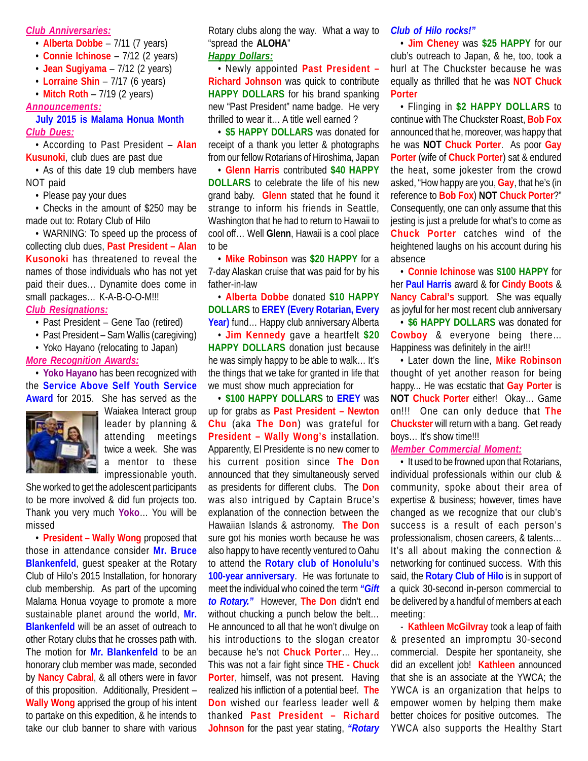#### *Club Anniversaries:*

- **Alberta Dobbe** 7/11 (7 years)
- **Connie Ichinose** 7/12 (2 years)
- **Jean Sugiyama** 7/12 (2 years)
- **Lorraine Shin** 7/17 (6 years)
- **Mitch Roth** 7/19 (2 years)

#### *Announcements:*

#### **July 2015 is Malama Honua Month** *Club Dues:*

• According to Past President – **Alan Kusunoki**, club dues are past due

• As of this date 19 club members have NOT paid

• Please pay your dues

• Checks in the amount of \$250 may be made out to: Rotary Club of Hilo

• WARNING: To speed up the process of collecting club dues, **Past President – Alan Kusonoki** has threatened to reveal the names of those individuals who has not yet paid their dues… Dynamite does come in small packages... K-A-B-O-O-M!!!

# *Club Resignations:*

- Past President Gene Tao (retired)
- Past President Sam Wallis (caregiving)
- Yoko Hayano (relocating to Japan)

# *More Recognition Awards:*

• **Yoko Hayano** has been recognized with the **Service Above Self Youth Service Award** for 2015. She has served as the



Waiakea Interact group leader by planning & attending meetings twice a week. She was a mentor to these impressionable youth.

She worked to get the adolescent participants to be more involved & did fun projects too. Thank you very much **Yoko**… You will be missed

• **President – Wally Wong** proposed that those in attendance consider **Mr. Bruce Blankenfeld**, guest speaker at the Rotary Club of Hilo's 2015 Installation, for honorary club membership. As part of the upcoming Malama Honua voyage to promote a more sustainable planet around the world, **Mr. Blankenfeld** will be an asset of outreach to other Rotary clubs that he crosses path with. The motion for **Mr. Blankenfeld** to be an honorary club member was made, seconded by **Nancy Cabral**, & all others were in favor of this proposition. Additionally, President – **Wally Wong** apprised the group of his intent to partake on this expedition, & he intends to take our club banner to share with various

Rotary clubs along the way. What a way to "spread the **ALOHA**"

#### *Happy Dollars:*

• Newly appointed **Past President – Richard Johnson** was quick to contribute **HAPPY DOLLARS** for his brand spanking new "Past President" name badge. He very thrilled to wear it… A title well earned ?

• **\$5 HAPPY DOLLARS** was donated for receipt of a thank you letter & photographs from our fellow Rotarians of Hiroshima, Japan

• **Glenn Harris** contributed **\$40 HAPPY DOLLARS** to celebrate the life of his new grand baby. **Glenn** stated that he found it strange to inform his friends in Seattle, Washington that he had to return to Hawaii to cool off… Well **Glenn**, Hawaii is a cool place to be

• **Mike Robinson** was **\$20 HAPPY** for a 7-day Alaskan cruise that was paid for by his father-in-law

• **Alberta Dobbe** donated **\$10 HAPPY DOLLARS** to **EREY (Every Rotarian, Every Year)** fund… Happy club anniversary Alberta

• **Jim Kennedy** gave a heartfelt **\$20 HAPPY DOLLARS** donation just because he was simply happy to be able to walk… It's the things that we take for granted in life that we must show much appreciation for

• **\$100 HAPPY DOLLARS** to **EREY** was up for grabs as **Past President – Newton Chu** (aka **The Don**) was grateful for **President – Wally Wong's** installation. Apparently, El Presidente is no new comer to his current position since **The Don** announced that they simultaneously served as presidents for different clubs. The **Don** was also intrigued by Captain Bruce's explanation of the connection between the Hawaiian Islands & astronomy. **The Don** sure got his monies worth because he was also happy to have recently ventured to Oahu to attend the **Rotary club of Honolulu's 100-year anniversary**. He was fortunate to meet the individual who coined the term *"Gift to Rotary."* However, **The Don** didn't end without chucking a punch below the belt... He announced to all that he won't divulge on his introductions to the slogan creator because he's not **Chuck Porter**… Hey… This was not a fair fight since **THE - Chuck Porter**, himself, was not present. Having realized his infliction of a potential beef. **The Don** wished our fearless leader well & thanked **Past President – Richard Johnson** for the past year stating, *"Rotary*

# *Club of Hilo rocks!"*

• **Jim Cheney** was **\$25 HAPPY** for our club's outreach to Japan, & he, too, took a hurl at The Chuckster because he was equally as thrilled that he was **NOT Chuck Porter**

• Flinging in **\$2 HAPPY DOLLARS** to continue with The Chuckster Roast, **Bob Fox** announced that he, moreover, was happy that he was **NOT Chuck Porter**. As poor **Gay Porter** (wife of **Chuck Porter**) sat & endured the heat, some jokester from the crowd asked, "How happy are you, **Gay**, that he's (in reference to **Bob Fox**) **NOT Chuck Porter**?" Consequently, one can only assume that this jesting is just a prelude for what's to come as **Chuck Porter** catches wind of the heightened laughs on his account during his absence

• **Connie Ichinose** was **\$100 HAPPY** for her **Paul Harris** award & for **Cindy Boots** & **Nancy Cabral's** support. She was equally as joyful for her most recent club anniversary

• **\$6 HAPPY DOLLARS** was donated for **Cowboy** & everyone being there… Happiness was definitely in the air!!!

• Later down the line, **Mike Robinson** thought of yet another reason for being happy... He was ecstatic that **Gay Porter** is **NOT Chuck Porter** either! Okay… Game on!!! One can only deduce that **The Chuckster** will return with a bang. Get ready boys… It's show time!!!

*Member Commercial Moment:*

• It used to be frowned upon that Rotarians, individual professionals within our club & community, spoke about their area of expertise & business; however, times have changed as we recognize that our club's success is a result of each person's professionalism, chosen careers, & talents… It's all about making the connection & networking for continued success. With this said, the **Rotary Club of Hilo** is in support of a quick 30-second in-person commercial to be delivered by a handful of members at each meeting:

- **Kathleen McGilvray** took a leap of faith & presented an impromptu 30-second commercial. Despite her spontaneity, she did an excellent job! **Kathleen** announced that she is an associate at the YWCA; the YWCA is an organization that helps to empower women by helping them make better choices for positive outcomes. The YWCA also supports the Healthy Start